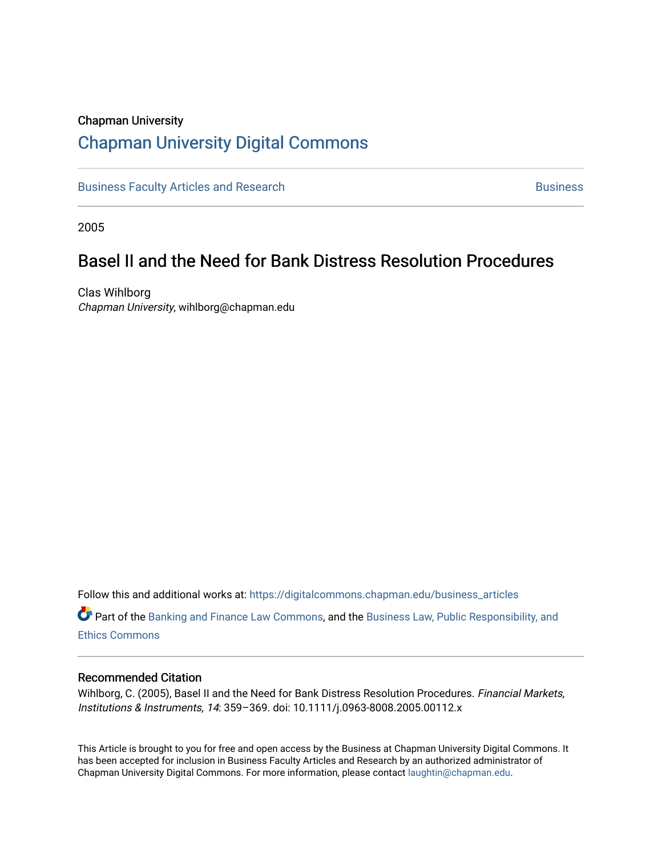# Chapman University

# [Chapman University Digital Commons](https://digitalcommons.chapman.edu/)

[Business Faculty Articles and Research](https://digitalcommons.chapman.edu/business_articles) **Business** [Business](https://digitalcommons.chapman.edu/business) **Business** 

2005

# Basel II and the Need for Bank Distress Resolution Procedures

Clas Wihlborg Chapman University, wihlborg@chapman.edu

Follow this and additional works at: [https://digitalcommons.chapman.edu/business\\_articles](https://digitalcommons.chapman.edu/business_articles?utm_source=digitalcommons.chapman.edu%2Fbusiness_articles%2F49&utm_medium=PDF&utm_campaign=PDFCoverPages) 

Part of the [Banking and Finance Law Commons,](http://network.bepress.com/hgg/discipline/833?utm_source=digitalcommons.chapman.edu%2Fbusiness_articles%2F49&utm_medium=PDF&utm_campaign=PDFCoverPages) and the [Business Law, Public Responsibility, and](http://network.bepress.com/hgg/discipline/628?utm_source=digitalcommons.chapman.edu%2Fbusiness_articles%2F49&utm_medium=PDF&utm_campaign=PDFCoverPages)  [Ethics Commons](http://network.bepress.com/hgg/discipline/628?utm_source=digitalcommons.chapman.edu%2Fbusiness_articles%2F49&utm_medium=PDF&utm_campaign=PDFCoverPages) 

## Recommended Citation

Wihlborg, C. (2005), Basel II and the Need for Bank Distress Resolution Procedures. Financial Markets, Institutions & Instruments, 14: 359–369. doi: 10.1111/j.0963-8008.2005.00112.x

This Article is brought to you for free and open access by the Business at Chapman University Digital Commons. It has been accepted for inclusion in Business Faculty Articles and Research by an authorized administrator of Chapman University Digital Commons. For more information, please contact [laughtin@chapman.edu](mailto:laughtin@chapman.edu).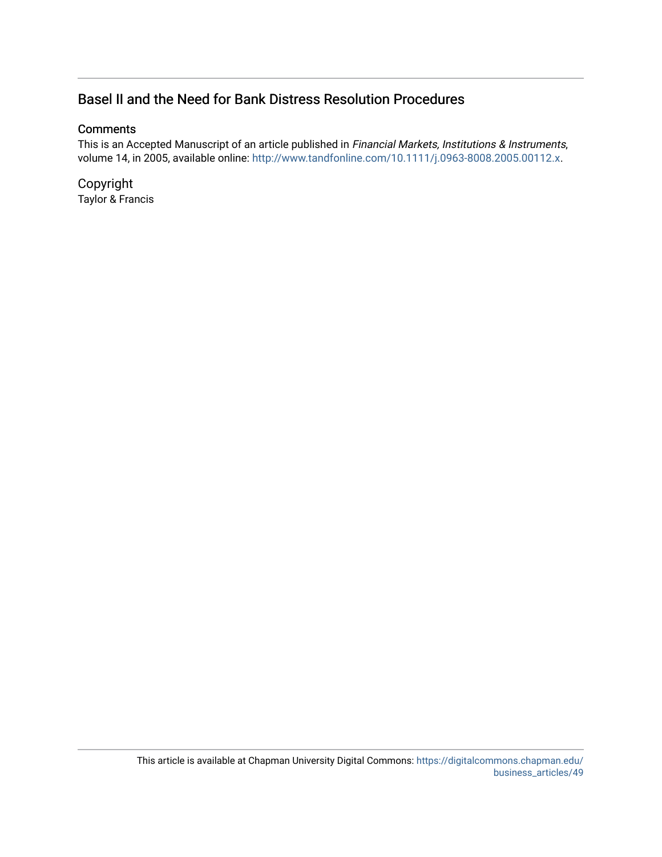# Basel II and the Need for Bank Distress Resolution Procedures

## **Comments**

This is an Accepted Manuscript of an article published in Financial Markets, Institutions & Instruments, volume 14, in 2005, available online: http://www.tandfonline.com/10.1111/j.0963-8008.2005.00112.x.

Copyright Taylor & Francis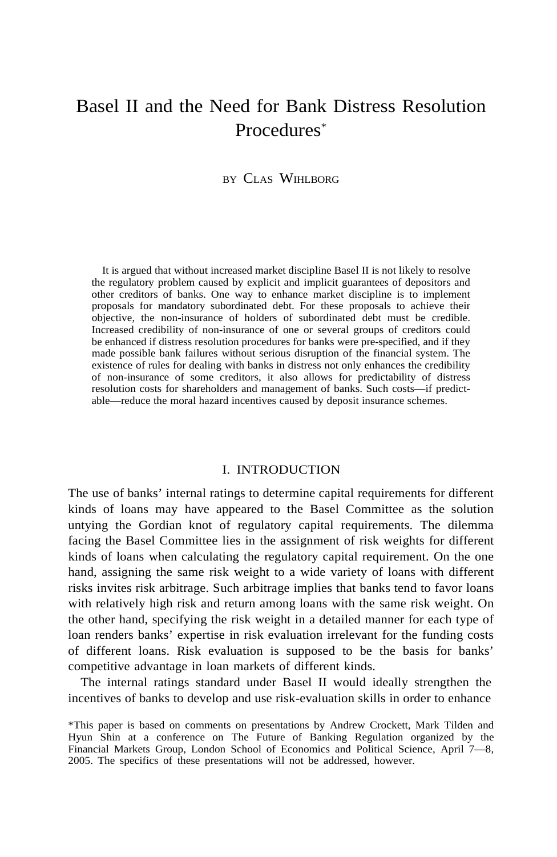# Basel II and the Need for Bank Distress Resolution Procedures\*

## BY CLAS WIHLBORG

It is argued that without increased market discipline Basel II is not likely to resolve the regulatory problem caused by explicit and implicit guarantees of depositors and other creditors of banks. One way to enhance market discipline is to implement proposals for mandatory subordinated debt. For these proposals to achieve their objective, the non-insurance of holders of subordinated debt must be credible. Increased credibility of non-insurance of one or several groups of creditors could be enhanced if distress resolution procedures for banks were pre-specified, and if they made possible bank failures without serious disruption of the financial system. The existence of rules for dealing with banks in distress not only enhances the credibility of non-insurance of some creditors, it also allows for predictability of distress resolution costs for shareholders and management of banks. Such costs—if predictable—reduce the moral hazard incentives caused by deposit insurance schemes.

#### I. INTRODUCTION

The use of banks' internal ratings to determine capital requirements for different kinds of loans may have appeared to the Basel Committee as the solution untying the Gordian knot of regulatory capital requirements. The dilemma facing the Basel Committee lies in the assignment of risk weights for different kinds of loans when calculating the regulatory capital requirement. On the one hand, assigning the same risk weight to a wide variety of loans with different risks invites risk arbitrage. Such arbitrage implies that banks tend to favor loans with relatively high risk and return among loans with the same risk weight. On the other hand, specifying the risk weight in a detailed manner for each type of loan renders banks' expertise in risk evaluation irrelevant for the funding costs of different loans. Risk evaluation is supposed to be the basis for banks' competitive advantage in loan markets of different kinds.

The internal ratings standard under Basel II would ideally strengthen the incentives of banks to develop and use risk-evaluation skills in order to enhance

<sup>\*</sup>This paper is based on comments on presentations by Andrew Crockett, Mark Tilden and Hyun Shin at a conference on The Future of Banking Regulation organized by the Financial Markets Group, London School of Economics and Political Science, April 7—8, 2005. The specifics of these presentations will not be addressed, however.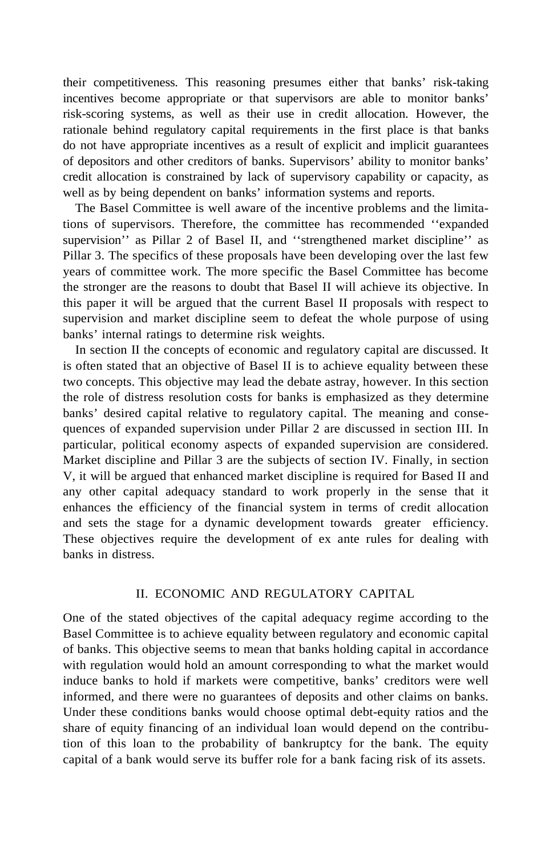their competitiveness. This reasoning presumes either that banks' risk-taking incentives become appropriate or that supervisors are able to monitor banks' risk-scoring systems, as well as their use in credit allocation. However, the rationale behind regulatory capital requirements in the first place is that banks do not have appropriate incentives as a result of explicit and implicit guarantees of depositors and other creditors of banks. Supervisors' ability to monitor banks' credit allocation is constrained by lack of supervisory capability or capacity, as well as by being dependent on banks' information systems and reports.

The Basel Committee is well aware of the incentive problems and the limitations of supervisors. Therefore, the committee has recommended ''expanded supervision" as Pillar 2 of Basel II, and "strengthened market discipline" as Pillar 3. The specifics of these proposals have been developing over the last few years of committee work. The more specific the Basel Committee has become the stronger are the reasons to doubt that Basel II will achieve its objective. In this paper it will be argued that the current Basel II proposals with respect to supervision and market discipline seem to defeat the whole purpose of using banks' internal ratings to determine risk weights.

In section II the concepts of economic and regulatory capital are discussed. It is often stated that an objective of Basel II is to achieve equality between these two concepts. This objective may lead the debate astray, however. In this section the role of distress resolution costs for banks is emphasized as they determine banks' desired capital relative to regulatory capital. The meaning and consequences of expanded supervision under Pillar 2 are discussed in section III. In particular, political economy aspects of expanded supervision are considered. Market discipline and Pillar 3 are the subjects of section IV. Finally, in section V, it will be argued that enhanced market discipline is required for Based II and any other capital adequacy standard to work properly in the sense that it enhances the efficiency of the financial system in terms of credit allocation and sets the stage for a dynamic development towards greater efficiency. These objectives require the development of ex ante rules for dealing with banks in distress.

#### II. ECONOMIC AND REGULATORY CAPITAL

One of the stated objectives of the capital adequacy regime according to the Basel Committee is to achieve equality between regulatory and economic capital of banks. This objective seems to mean that banks holding capital in accordance with regulation would hold an amount corresponding to what the market would induce banks to hold if markets were competitive, banks' creditors were well informed, and there were no guarantees of deposits and other claims on banks. Under these conditions banks would choose optimal debt-equity ratios and the share of equity financing of an individual loan would depend on the contribution of this loan to the probability of bankruptcy for the bank. The equity capital of a bank would serve its buffer role for a bank facing risk of its assets.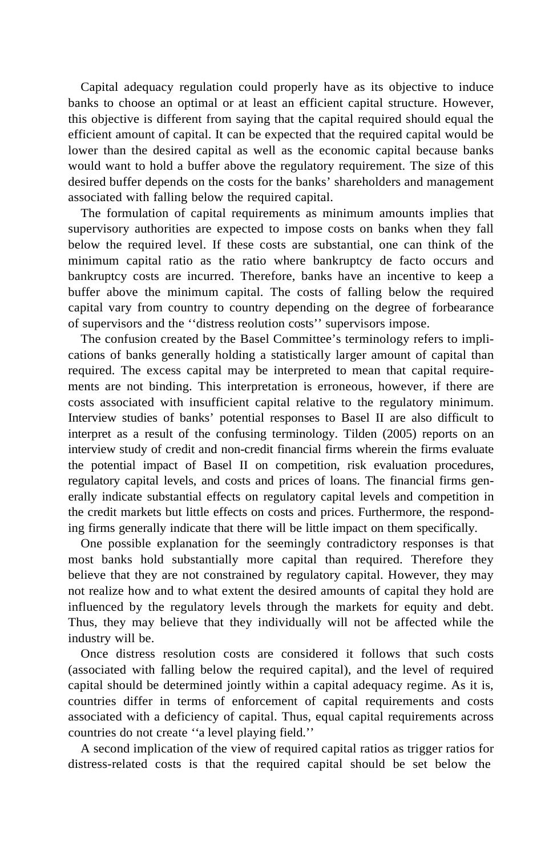Capital adequacy regulation could properly have as its objective to induce banks to choose an optimal or at least an efficient capital structure. However, this objective is different from saying that the capital required should equal the efficient amount of capital. It can be expected that the required capital would be lower than the desired capital as well as the economic capital because banks would want to hold a buffer above the regulatory requirement. The size of this desired buffer depends on the costs for the banks' shareholders and management associated with falling below the required capital.

The formulation of capital requirements as minimum amounts implies that supervisory authorities are expected to impose costs on banks when they fall below the required level. If these costs are substantial, one can think of the minimum capital ratio as the ratio where bankruptcy de facto occurs and bankruptcy costs are incurred. Therefore, banks have an incentive to keep a buffer above the minimum capital. The costs of falling below the required capital vary from country to country depending on the degree of forbearance of supervisors and the ''distress reolution costs'' supervisors impose.

The confusion created by the Basel Committee's terminology refers to implications of banks generally holding a statistically larger amount of capital than required. The excess capital may be interpreted to mean that capital requirements are not binding. This interpretation is erroneous, however, if there are costs associated with insufficient capital relative to the regulatory minimum. Interview studies of banks' potential responses to Basel II are also difficult to interpret as a result of the confusing terminology. Tilden (2005) reports on an interview study of credit and non-credit financial firms wherein the firms evaluate the potential impact of Basel II on competition, risk evaluation procedures, regulatory capital levels, and costs and prices of loans. The financial firms generally indicate substantial effects on regulatory capital levels and competition in the credit markets but little effects on costs and prices. Furthermore, the responding firms generally indicate that there will be little impact on them specifically.

One possible explanation for the seemingly contradictory responses is that most banks hold substantially more capital than required. Therefore they believe that they are not constrained by regulatory capital. However, they may not realize how and to what extent the desired amounts of capital they hold are influenced by the regulatory levels through the markets for equity and debt. Thus, they may believe that they individually will not be affected while the industry will be.

Once distress resolution costs are considered it follows that such costs (associated with falling below the required capital), and the level of required capital should be determined jointly within a capital adequacy regime. As it is, countries differ in terms of enforcement of capital requirements and costs associated with a deficiency of capital. Thus, equal capital requirements across countries do not create ''a level playing field.''

A second implication of the view of required capital ratios as trigger ratios for distress-related costs is that the required capital should be set below the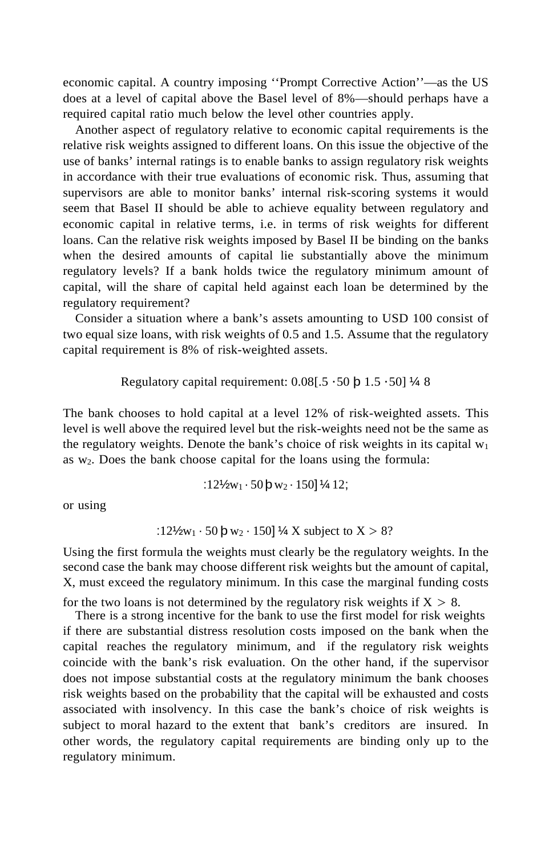economic capital. A country imposing ''Prompt Corrective Action''—as the US does at a level of capital above the Basel level of 8%—should perhaps have a required capital ratio much below the level other countries apply.

Another aspect of regulatory relative to economic capital requirements is the relative risk weights assigned to different loans. On this issue the objective of the use of banks' internal ratings is to enable banks to assign regulatory risk weights in accordance with their true evaluations of economic risk. Thus, assuming that supervisors are able to monitor banks' internal risk-scoring systems it would seem that Basel II should be able to achieve equality between regulatory and economic capital in relative terms, i.e. in terms of risk weights for different loans. Can the relative risk weights imposed by Basel II be binding on the banks when the desired amounts of capital lie substantially above the minimum regulatory levels? If a bank holds twice the regulatory minimum amount of capital, will the share of capital held against each loan be determined by the regulatory requirement?

Consider a situation where a bank's assets amounting to USD 100 consist of two equal size loans, with risk weights of 0.5 and 1.5. Assume that the regulatory capital requirement is 8% of risk-weighted assets.

Regulatory capital requirement:  $0.08[0.5 \cdot 50]$  b  $1.5 \cdot 50$ ] ¼ 8

The bank chooses to hold capital at a level 12% of risk-weighted assets. This level is well above the required level but the risk-weights need not be the same as the regulatory weights. Denote the bank's choice of risk weights in its capital  $w_1$ as w2. Does the bank choose capital for the loans using the formula:

$$
:12\frac{1}{2}w_1 \cdot 50\,\mathsf{b}\,w_2 \cdot 150\,]\,\mathsf{14}\,12\mathsf{;}
$$

or using

:12
$$
\frac{1}{2}
$$
w<sub>1</sub> · 50  $\triangleright$  w<sub>2</sub> · 150]  $\frac{1}{4}$  X subject to X > 8?

Using the first formula the weights must clearly be the regulatory weights. In the second case the bank may choose different risk weights but the amount of capital, X, must exceed the regulatory minimum. In this case the marginal funding costs

for the two loans is not determined by the regulatory risk weights if  $X > 8$ .

There is a strong incentive for the bank to use the first model for risk weights if there are substantial distress resolution costs imposed on the bank when the capital reaches the regulatory minimum, and if the regulatory risk weights coincide with the bank's risk evaluation. On the other hand, if the supervisor does not impose substantial costs at the regulatory minimum the bank chooses risk weights based on the probability that the capital will be exhausted and costs associated with insolvency. In this case the bank's choice of risk weights is subject to moral hazard to the extent that bank's creditors are insured. In other words, the regulatory capital requirements are binding only up to the regulatory minimum.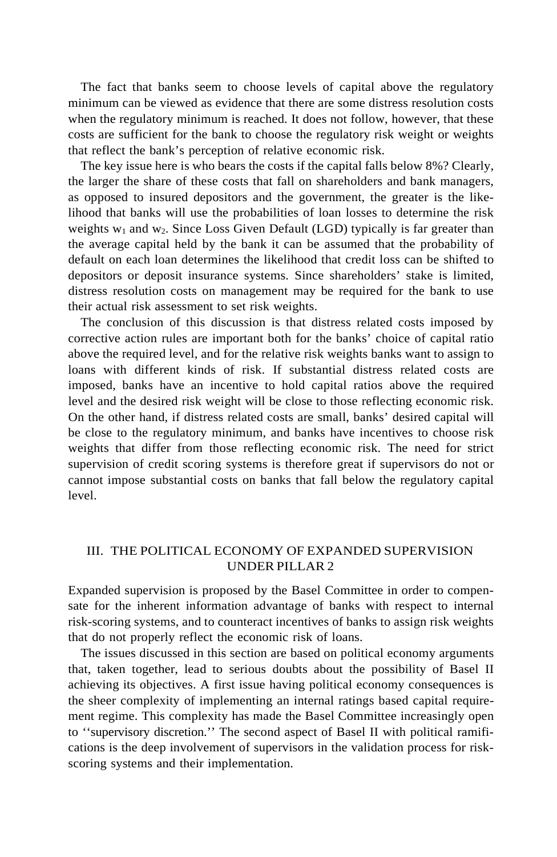The fact that banks seem to choose levels of capital above the regulatory minimum can be viewed as evidence that there are some distress resolution costs when the regulatory minimum is reached. It does not follow, however, that these costs are sufficient for the bank to choose the regulatory risk weight or weights that reflect the bank's perception of relative economic risk.

The key issue here is who bears the costs if the capital falls below 8%? Clearly, the larger the share of these costs that fall on shareholders and bank managers, as opposed to insured depositors and the government, the greater is the likelihood that banks will use the probabilities of loan losses to determine the risk weights  $w_1$  and  $w_2$ . Since Loss Given Default (LGD) typically is far greater than the average capital held by the bank it can be assumed that the probability of default on each loan determines the likelihood that credit loss can be shifted to depositors or deposit insurance systems. Since shareholders' stake is limited, distress resolution costs on management may be required for the bank to use their actual risk assessment to set risk weights.

The conclusion of this discussion is that distress related costs imposed by corrective action rules are important both for the banks' choice of capital ratio above the required level, and for the relative risk weights banks want to assign to loans with different kinds of risk. If substantial distress related costs are imposed, banks have an incentive to hold capital ratios above the required level and the desired risk weight will be close to those reflecting economic risk. On the other hand, if distress related costs are small, banks' desired capital will be close to the regulatory minimum, and banks have incentives to choose risk weights that differ from those reflecting economic risk. The need for strict supervision of credit scoring systems is therefore great if supervisors do not or cannot impose substantial costs on banks that fall below the regulatory capital level.

### III. THE POLITICAL ECONOMY OF EXPANDED SUPERVISION UNDERPILLAR 2

Expanded supervision is proposed by the Basel Committee in order to compensate for the inherent information advantage of banks with respect to internal risk-scoring systems, and to counteract incentives of banks to assign risk weights that do not properly reflect the economic risk of loans.

The issues discussed in this section are based on political economy arguments that, taken together, lead to serious doubts about the possibility of Basel II achieving its objectives. A first issue having political economy consequences is the sheer complexity of implementing an internal ratings based capital requirement regime. This complexity has made the Basel Committee increasingly open to ''supervisory discretion.'' The second aspect of Basel II with political ramifications is the deep involvement of supervisors in the validation process for riskscoring systems and their implementation.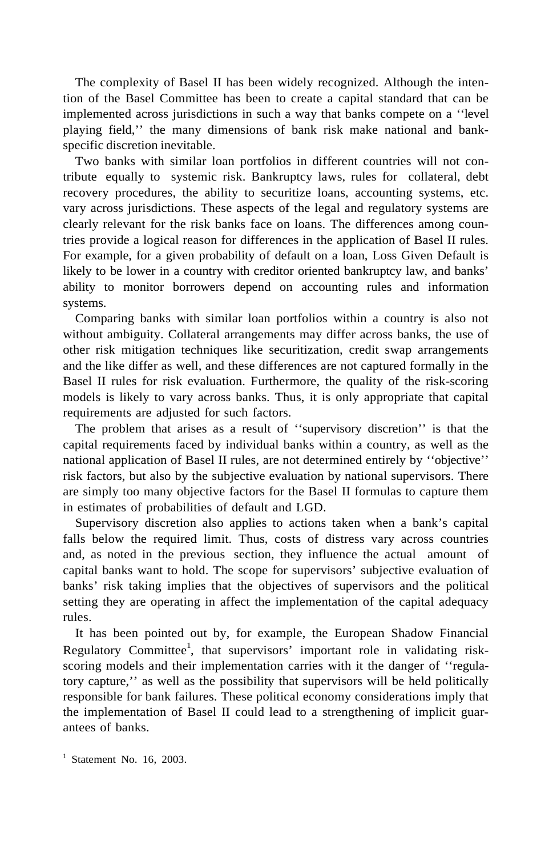The complexity of Basel II has been widely recognized. Although the intention of the Basel Committee has been to create a capital standard that can be implemented across jurisdictions in such a way that banks compete on a ''level playing field,'' the many dimensions of bank risk make national and bankspecific discretion inevitable.

Two banks with similar loan portfolios in different countries will not contribute equally to systemic risk. Bankruptcy laws, rules for collateral, debt recovery procedures, the ability to securitize loans, accounting systems, etc. vary across jurisdictions. These aspects of the legal and regulatory systems are clearly relevant for the risk banks face on loans. The differences among countries provide a logical reason for differences in the application of Basel II rules. For example, for a given probability of default on a loan, Loss Given Default is likely to be lower in a country with creditor oriented bankruptcy law, and banks' ability to monitor borrowers depend on accounting rules and information systems.

Comparing banks with similar loan portfolios within a country is also not without ambiguity. Collateral arrangements may differ across banks, the use of other risk mitigation techniques like securitization, credit swap arrangements and the like differ as well, and these differences are not captured formally in the Basel II rules for risk evaluation. Furthermore, the quality of the risk-scoring models is likely to vary across banks. Thus, it is only appropriate that capital requirements are adjusted for such factors.

The problem that arises as a result of ''supervisory discretion'' is that the capital requirements faced by individual banks within a country, as well as the national application of Basel II rules, are not determined entirely by ''objective'' risk factors, but also by the subjective evaluation by national supervisors. There are simply too many objective factors for the Basel II formulas to capture them in estimates of probabilities of default and LGD.

Supervisory discretion also applies to actions taken when a bank's capital falls below the required limit. Thus, costs of distress vary across countries and, as noted in the previous section, they influence the actual amount of capital banks want to hold. The scope for supervisors' subjective evaluation of banks' risk taking implies that the objectives of supervisors and the political setting they are operating in affect the implementation of the capital adequacy rules.

It has been pointed out by, for example, the European Shadow Financial Regulatory Committee<sup>1</sup>, that supervisors' important role in validating riskscoring models and their implementation carries with it the danger of ''regulatory capture,'' as well as the possibility that supervisors will be held politically responsible for bank failures. These political economy considerations imply that the implementation of Basel II could lead to a strengthening of implicit guarantees of banks.

 $1$  Statement No. 16, 2003.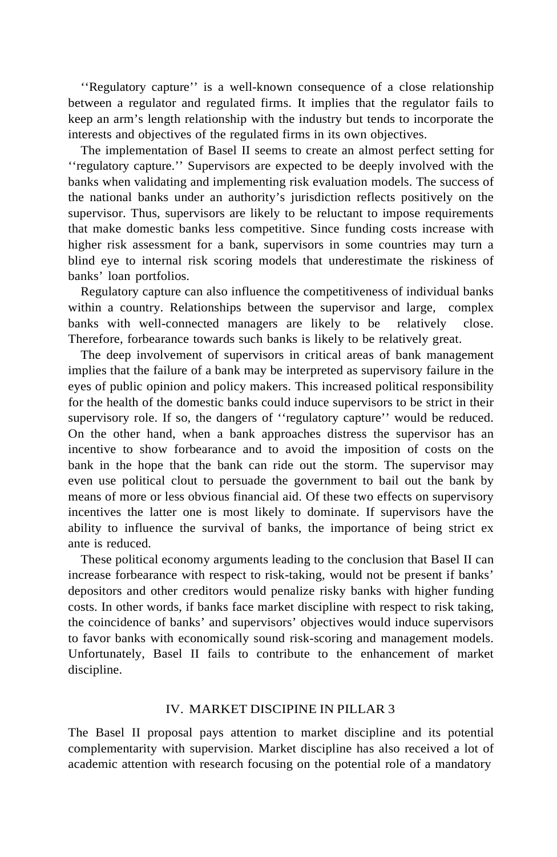''Regulatory capture'' is a well-known consequence of a close relationship between a regulator and regulated firms. It implies that the regulator fails to keep an arm's length relationship with the industry but tends to incorporate the interests and objectives of the regulated firms in its own objectives.

The implementation of Basel II seems to create an almost perfect setting for ''regulatory capture.'' Supervisors are expected to be deeply involved with the banks when validating and implementing risk evaluation models. The success of the national banks under an authority's jurisdiction reflects positively on the supervisor. Thus, supervisors are likely to be reluctant to impose requirements that make domestic banks less competitive. Since funding costs increase with higher risk assessment for a bank, supervisors in some countries may turn a blind eye to internal risk scoring models that underestimate the riskiness of banks' loan portfolios.

Regulatory capture can also influence the competitiveness of individual banks within a country. Relationships between the supervisor and large, complex banks with well-connected managers are likely to be relatively close. Therefore, forbearance towards such banks is likely to be relatively great.

The deep involvement of supervisors in critical areas of bank management implies that the failure of a bank may be interpreted as supervisory failure in the eyes of public opinion and policy makers. This increased political responsibility for the health of the domestic banks could induce supervisors to be strict in their supervisory role. If so, the dangers of ''regulatory capture'' would be reduced. On the other hand, when a bank approaches distress the supervisor has an incentive to show forbearance and to avoid the imposition of costs on the bank in the hope that the bank can ride out the storm. The supervisor may even use political clout to persuade the government to bail out the bank by means of more or less obvious financial aid. Of these two effects on supervisory incentives the latter one is most likely to dominate. If supervisors have the ability to influence the survival of banks, the importance of being strict ex ante is reduced.

These political economy arguments leading to the conclusion that Basel II can increase forbearance with respect to risk-taking, would not be present if banks' depositors and other creditors would penalize risky banks with higher funding costs. In other words, if banks face market discipline with respect to risk taking, the coincidence of banks' and supervisors' objectives would induce supervisors to favor banks with economically sound risk-scoring and management models. Unfortunately, Basel II fails to contribute to the enhancement of market discipline.

### IV. MARKET DISCIPINE IN PILLAR 3

The Basel II proposal pays attention to market discipline and its potential complementarity with supervision. Market discipline has also received a lot of academic attention with research focusing on the potential role of a mandatory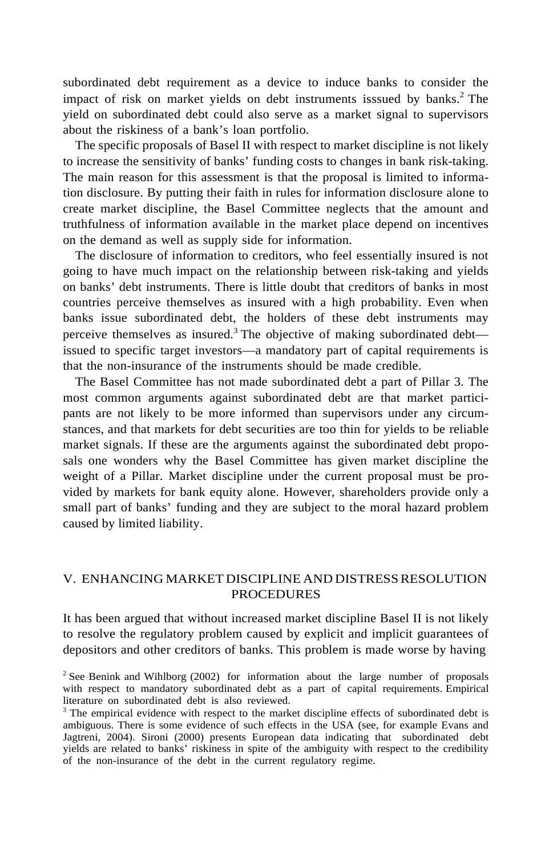subordinated debt requirement as a device to induce banks to consider the impact of risk on market yields on debt instruments isssued by banks.<sup>2</sup> The yield on subordinated debt could also serve as a market signal to supervisors about the riskiness of a bank's loan portfolio.

The specific proposals of Basel II with respect to market discipline is not likely to increase the sensitivity of banks' funding costs to changes in bank risk-taking. The main reason for this assessment is that the proposal is limited to information disclosure. By putting their faith in rules for information disclosure alone to create market discipline, the Basel Committee neglects that the amount and truthfulness of information available in the market place depend on incentives on the demand as well as supply side for information.

The disclosure of information to creditors, who feel essentially insured is not going to have much impact on the relationship between risk-taking and yields on banks' debt instruments. There is little doubt that creditors of banks in most countries perceive themselves as insured with a high probability. Even when banks issue subordinated debt, the holders of these debt instruments may perceive themselves as insured.<sup>3</sup> The objective of making subordinated debt issued to specific target investors—a mandatory part of capital requirements is that the non-insurance of the instruments should be made credible.

The Basel Committee has not made subordinated debt a part of Pillar 3. The most common arguments against subordinated debt are that market participants are not likely to be more informed than supervisors under any circumstances, and that markets for debt securities are too thin for yields to be reliable market signals. If these are the arguments against the subordinated debt proposals one wonders why the Basel Committee has given market discipline the weight of a Pillar. Market discipline under the current proposal must be provided by markets for bank equity alone. However, shareholders provide only a small part of banks' funding and they are subject to the moral hazard problem caused by limited liability.

### V. ENHANCING MARKET DISCIPLINE AND DISTRESS RESOLUTION PROCEDURES

It has been argued that without increased market discipline Basel II is not likely to resolve the regulatory problem caused by explicit and implicit guarantees of depositors and other creditors of banks. This problem is made worse by having

<sup>&</sup>lt;sup>2</sup> See Benink and Wihlborg (2002) for information about the large number of proposals with respect to mandatory subordinated debt as a part of capital requirements. Empirical literature on subordinated debt is also reviewed.

 $3$  The empirical evidence with respect to the market discipline effects of subordinated debt is ambiguous. There is some evidence of such effects in the USA (see, for example Evans and Jagtreni, 2004). Sironi (2000) presents European data indicating that subordinated debt yields are related to banks' riskiness in spite of the ambiguity with respect to the credibility of the non-insurance of the debt in the current regulatory regime.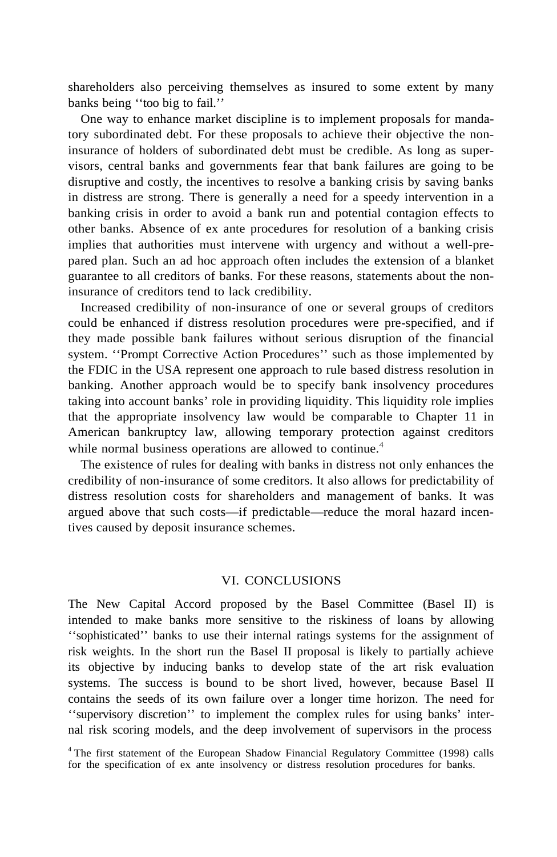shareholders also perceiving themselves as insured to some extent by many banks being ''too big to fail.''

One way to enhance market discipline is to implement proposals for mandatory subordinated debt. For these proposals to achieve their objective the noninsurance of holders of subordinated debt must be credible. As long as supervisors, central banks and governments fear that bank failures are going to be disruptive and costly, the incentives to resolve a banking crisis by saving banks in distress are strong. There is generally a need for a speedy intervention in a banking crisis in order to avoid a bank run and potential contagion effects to other banks. Absence of ex ante procedures for resolution of a banking crisis implies that authorities must intervene with urgency and without a well-prepared plan. Such an ad hoc approach often includes the extension of a blanket guarantee to all creditors of banks. For these reasons, statements about the noninsurance of creditors tend to lack credibility.

Increased credibility of non-insurance of one or several groups of creditors could be enhanced if distress resolution procedures were pre-specified, and if they made possible bank failures without serious disruption of the financial system. ''Prompt Corrective Action Procedures'' such as those implemented by the FDIC in the USA represent one approach to rule based distress resolution in banking. Another approach would be to specify bank insolvency procedures taking into account banks' role in providing liquidity. This liquidity role implies that the appropriate insolvency law would be comparable to Chapter 11 in American bankruptcy law, allowing temporary protection against creditors while normal business operations are allowed to continue.<sup>4</sup>

The existence of rules for dealing with banks in distress not only enhances the credibility of non-insurance of some creditors. It also allows for predictability of distress resolution costs for shareholders and management of banks. It was argued above that such costs—if predictable—reduce the moral hazard incentives caused by deposit insurance schemes.

#### VI. CONCLUSIONS

The New Capital Accord proposed by the Basel Committee (Basel II) is intended to make banks more sensitive to the riskiness of loans by allowing ''sophisticated'' banks to use their internal ratings systems for the assignment of risk weights. In the short run the Basel II proposal is likely to partially achieve its objective by inducing banks to develop state of the art risk evaluation systems. The success is bound to be short lived, however, because Basel II contains the seeds of its own failure over a longer time horizon. The need for ''supervisory discretion'' to implement the complex rules for using banks' internal risk scoring models, and the deep involvement of supervisors in the process

<sup>4</sup> The first statement of the European Shadow Financial Regulatory Committee (1998) calls for the specification of ex ante insolvency or distress resolution procedures for banks.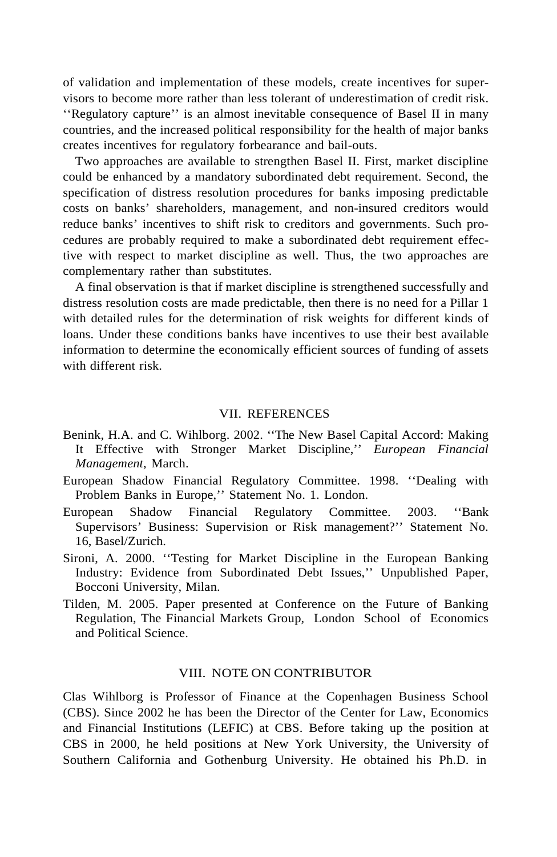of validation and implementation of these models, create incentives for supervisors to become more rather than less tolerant of underestimation of credit risk. ''Regulatory capture'' is an almost inevitable consequence of Basel II in many countries, and the increased political responsibility for the health of major banks creates incentives for regulatory forbearance and bail-outs.

Two approaches are available to strengthen Basel II. First, market discipline could be enhanced by a mandatory subordinated debt requirement. Second, the specification of distress resolution procedures for banks imposing predictable costs on banks' shareholders, management, and non-insured creditors would reduce banks' incentives to shift risk to creditors and governments. Such procedures are probably required to make a subordinated debt requirement effective with respect to market discipline as well. Thus, the two approaches are complementary rather than substitutes.

A final observation is that if market discipline is strengthened successfully and distress resolution costs are made predictable, then there is no need for a Pillar 1 with detailed rules for the determination of risk weights for different kinds of loans. Under these conditions banks have incentives to use their best available information to determine the economically efficient sources of funding of assets with different risk.

#### VII. REFERENCES

Benink, H.A. and C. Wihlborg. 2002. ''The New Basel Capital Accord: Making It Effective with Stronger Market Discipline,'' *European Financial Management*, March.

European Shadow Financial Regulatory Committee. 1998. ''Dealing with Problem Banks in Europe,'' Statement No. 1. London.

- European Shadow Financial Regulatory Committee. 2003. ''Bank Supervisors' Business: Supervision or Risk management?'' Statement No. 16, Basel/Zurich.
- Sironi, A. 2000. ''Testing for Market Discipline in the European Banking Industry: Evidence from Subordinated Debt Issues,'' Unpublished Paper, Bocconi University, Milan.
- Tilden, M. 2005. Paper presented at Conference on the Future of Banking Regulation, The Financial Markets Group, London School of Economics and Political Science.

### VIII. NOTE ON CONTRIBUTOR

Clas Wihlborg is Professor of Finance at the Copenhagen Business School (CBS). Since 2002 he has been the Director of the Center for Law, Economics and Financial Institutions (LEFIC) at CBS. Before taking up the position at CBS in 2000, he held positions at New York University, the University of Southern California and Gothenburg University. He obtained his Ph.D. in